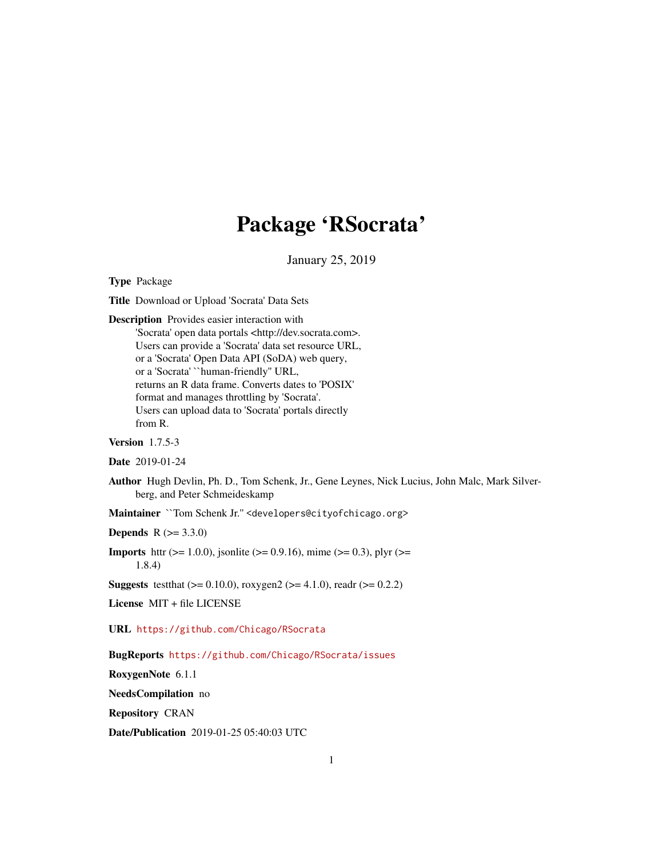## Package 'RSocrata'

January 25, 2019

Type Package

Title Download or Upload 'Socrata' Data Sets

Description Provides easier interaction with

'Socrata' open data portals <http://dev.socrata.com>. Users can provide a 'Socrata' data set resource URL, or a 'Socrata' Open Data API (SoDA) web query, or a 'Socrata' ``human-friendly'' URL, returns an R data frame. Converts dates to 'POSIX' format and manages throttling by 'Socrata'. Users can upload data to 'Socrata' portals directly from R.

Version 1.7.5-3

Date 2019-01-24

Author Hugh Devlin, Ph. D., Tom Schenk, Jr., Gene Leynes, Nick Lucius, John Malc, Mark Silverberg, and Peter Schmeideskamp

Maintainer ``Tom Schenk Jr." <developers@cityofchicago.org>

**Depends** R  $(>= 3.3.0)$ 

**Imports** http: (>= 1.0.0), jsonlite (>= 0.9.16), mime (>= 0.3), plyr (>= 1.8.4)

**Suggests** test that  $(>= 0.10.0)$ , roxygen  $2 (= 4.1.0)$ , readr  $(>= 0.2.2)$ 

License MIT + file LICENSE

URL <https://github.com/Chicago/RSocrata>

BugReports <https://github.com/Chicago/RSocrata/issues>

RoxygenNote 6.1.1

NeedsCompilation no

Repository CRAN

Date/Publication 2019-01-25 05:40:03 UTC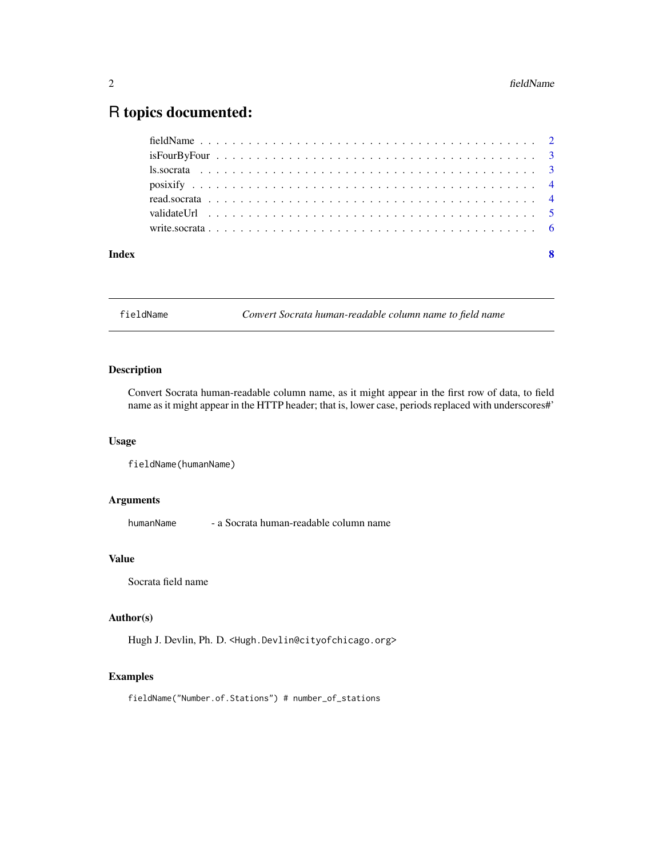### <span id="page-1-0"></span>R topics documented:

| Index |  |  |  |  |  |  |  |  |  |  |  |  |  |  |  |  |  | $\overline{\mathbf{8}}$ |
|-------|--|--|--|--|--|--|--|--|--|--|--|--|--|--|--|--|--|-------------------------|
|       |  |  |  |  |  |  |  |  |  |  |  |  |  |  |  |  |  |                         |
|       |  |  |  |  |  |  |  |  |  |  |  |  |  |  |  |  |  |                         |
|       |  |  |  |  |  |  |  |  |  |  |  |  |  |  |  |  |  |                         |
|       |  |  |  |  |  |  |  |  |  |  |  |  |  |  |  |  |  |                         |
|       |  |  |  |  |  |  |  |  |  |  |  |  |  |  |  |  |  |                         |
|       |  |  |  |  |  |  |  |  |  |  |  |  |  |  |  |  |  |                         |
|       |  |  |  |  |  |  |  |  |  |  |  |  |  |  |  |  |  |                         |

fieldName *Convert Socrata human-readable column name to field name*

#### Description

Convert Socrata human-readable column name, as it might appear in the first row of data, to field name as it might appear in the HTTP header; that is, lower case, periods replaced with underscores#'

#### Usage

fieldName(humanName)

#### Arguments

humanName - a Socrata human-readable column name

#### Value

Socrata field name

#### Author(s)

Hugh J. Devlin, Ph. D. <Hugh.Devlin@cityofchicago.org>

#### Examples

fieldName("Number.of.Stations") # number\_of\_stations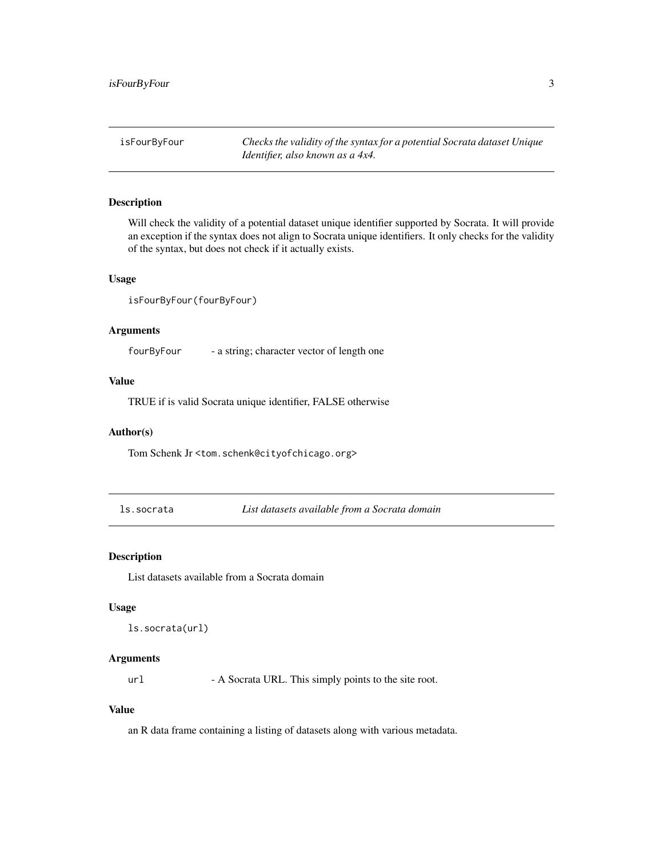<span id="page-2-0"></span>isFourByFour *Checks the validity of the syntax for a potential Socrata dataset Unique Identifier, also known as a 4x4.*

#### Description

Will check the validity of a potential dataset unique identifier supported by Socrata. It will provide an exception if the syntax does not align to Socrata unique identifiers. It only checks for the validity of the syntax, but does not check if it actually exists.

#### Usage

```
isFourByFour(fourByFour)
```
#### Arguments

fourByFour - a string; character vector of length one

#### Value

TRUE if is valid Socrata unique identifier, FALSE otherwise

#### Author(s)

Tom Schenk Jr <tom.schenk@cityofchicago.org>

ls.socrata *List datasets available from a Socrata domain*

#### Description

List datasets available from a Socrata domain

#### Usage

```
ls.socrata(url)
```
#### Arguments

url - A Socrata URL. This simply points to the site root.

#### Value

an R data frame containing a listing of datasets along with various metadata.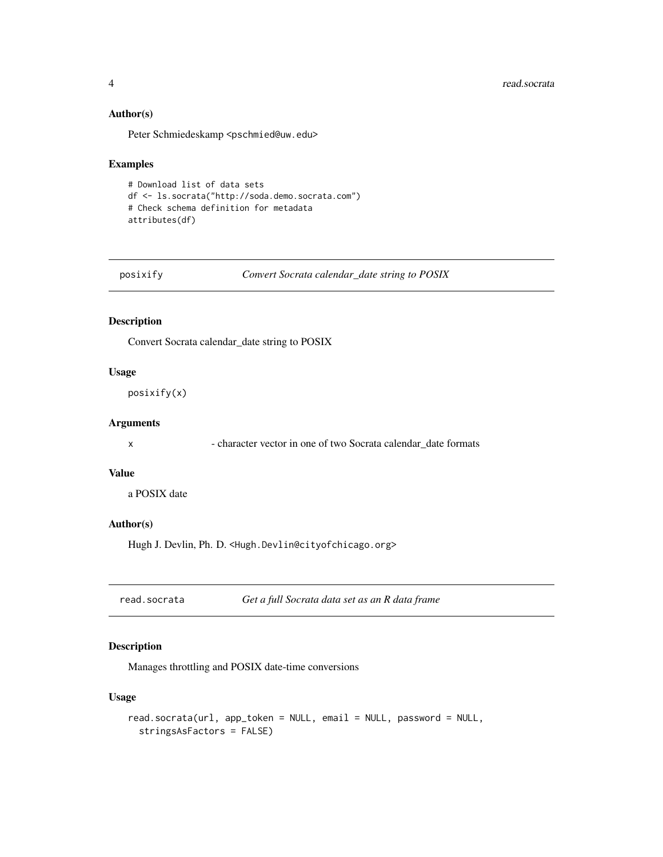#### Author(s)

Peter Schmiedeskamp <pschmied@uw.edu>

#### Examples

```
# Download list of data sets
df <- ls.socrata("http://soda.demo.socrata.com")
# Check schema definition for metadata
attributes(df)
```
posixify *Convert Socrata calendar\_date string to POSIX*

#### Description

Convert Socrata calendar\_date string to POSIX

#### Usage

posixify(x)

#### Arguments

x - character vector in one of two Socrata calendar\_date formats

#### Value

a POSIX date

#### Author(s)

Hugh J. Devlin, Ph. D. <Hugh.Devlin@cityofchicago.org>

read.socrata *Get a full Socrata data set as an R data frame*

#### Description

Manages throttling and POSIX date-time conversions

#### Usage

```
read.socrata(url, app_token = NULL, email = NULL, password = NULL,
  stringsAsFactors = FALSE)
```
<span id="page-3-0"></span>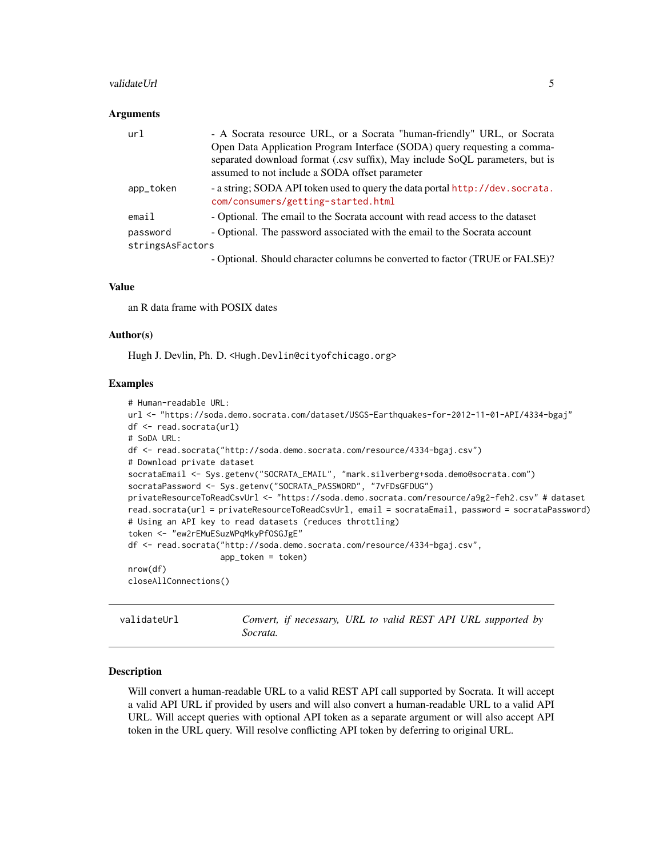#### <span id="page-4-0"></span>validateUrl 5

#### Arguments

| url              | - A Socrata resource URL, or a Socrata "human-friendly" URL, or Socrata<br>Open Data Application Program Interface (SODA) query requesting a comma-<br>separated download format (.csv suffix), May include SoQL parameters, but is<br>assumed to not include a SODA offset parameter |
|------------------|---------------------------------------------------------------------------------------------------------------------------------------------------------------------------------------------------------------------------------------------------------------------------------------|
| app_token        | - a string; SODA API token used to query the data portal http://dev.socrata.<br>com/consumers/getting-started.html                                                                                                                                                                    |
| email            | - Optional. The email to the Socrata account with read access to the dataset                                                                                                                                                                                                          |
| password         | - Optional. The password associated with the email to the Socrata account                                                                                                                                                                                                             |
| stringsAsFactors |                                                                                                                                                                                                                                                                                       |
|                  |                                                                                                                                                                                                                                                                                       |

- Optional. Should character columns be converted to factor (TRUE or FALSE)?

#### Value

an R data frame with POSIX dates

#### Author(s)

Hugh J. Devlin, Ph. D. <Hugh.Devlin@cityofchicago.org>

#### Examples

```
# Human-readable URL:
url <- "https://soda.demo.socrata.com/dataset/USGS-Earthquakes-for-2012-11-01-API/4334-bgaj"
df <- read.socrata(url)
# SoDA URL:
df <- read.socrata("http://soda.demo.socrata.com/resource/4334-bgaj.csv")
# Download private dataset
socrataEmail <- Sys.getenv("SOCRATA_EMAIL", "mark.silverberg+soda.demo@socrata.com")
socrataPassword <- Sys.getenv("SOCRATA_PASSWORD", "7vFDsGFDUG")
privateResourceToReadCsvUrl <- "https://soda.demo.socrata.com/resource/a9g2-feh2.csv" # dataset
read.socrata(url = privateResourceToReadCsvUrl, email = socrataEmail, password = socrataPassword)
# Using an API key to read datasets (reduces throttling)
token <- "ew2rEMuESuzWPqMkyPfOSGJgE"
df <- read.socrata("http://soda.demo.socrata.com/resource/4334-bgaj.csv",
                   app_token = token)
nrow(df)
closeAllConnections()
```
validateUrl *Convert, if necessary, URL to valid REST API URL supported by Socrata.*

#### Description

Will convert a human-readable URL to a valid REST API call supported by Socrata. It will accept a valid API URL if provided by users and will also convert a human-readable URL to a valid API URL. Will accept queries with optional API token as a separate argument or will also accept API token in the URL query. Will resolve conflicting API token by deferring to original URL.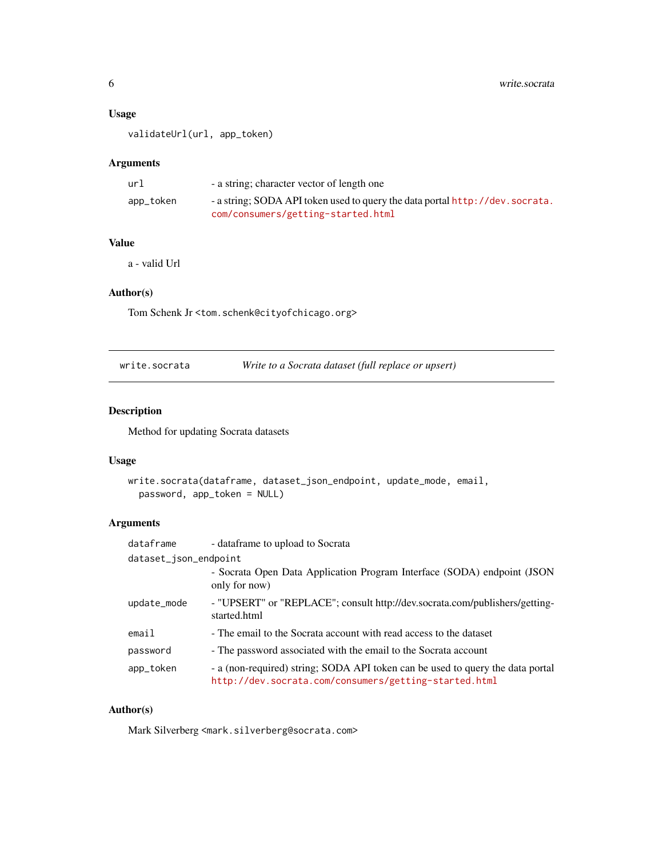#### Usage

validateUrl(url, app\_token)

#### Arguments

| url       | - a string; character vector of length one                                   |
|-----------|------------------------------------------------------------------------------|
| app_token | - a string; SODA API token used to query the data portal http://dev.socrata. |
|           | com/consumers/getting-started.html                                           |

#### Value

a - valid Url

#### Author(s)

Tom Schenk Jr <tom.schenk@cityofchicago.org>

| write.socrata | Write to a Socrata dataset (full replace or upsert) |  |  |
|---------------|-----------------------------------------------------|--|--|
|               |                                                     |  |  |

#### Description

Method for updating Socrata datasets

#### Usage

```
write.socrata(dataframe, dataset_json_endpoint, update_mode, email,
 password, app_token = NULL)
```
#### Arguments

| dataframe             | - dataframe to upload to Socrata                                                                                                        |
|-----------------------|-----------------------------------------------------------------------------------------------------------------------------------------|
| dataset_json_endpoint |                                                                                                                                         |
|                       | - Socrata Open Data Application Program Interface (SODA) endpoint (JSON<br>only for now)                                                |
| update_mode           | - "UPSERT" or "REPLACE"; consult http://dev.socrata.com/publishers/getting-<br>started.html                                             |
| email                 | - The email to the Socrata account with read access to the dataset                                                                      |
| password              | - The password associated with the email to the Socrata account                                                                         |
| app_token             | - a (non-required) string; SODA API token can be used to query the data portal<br>http://dev.socrata.com/consumers/getting-started.html |

#### Author(s)

Mark Silverberg <mark.silverberg@socrata.com>

<span id="page-5-0"></span>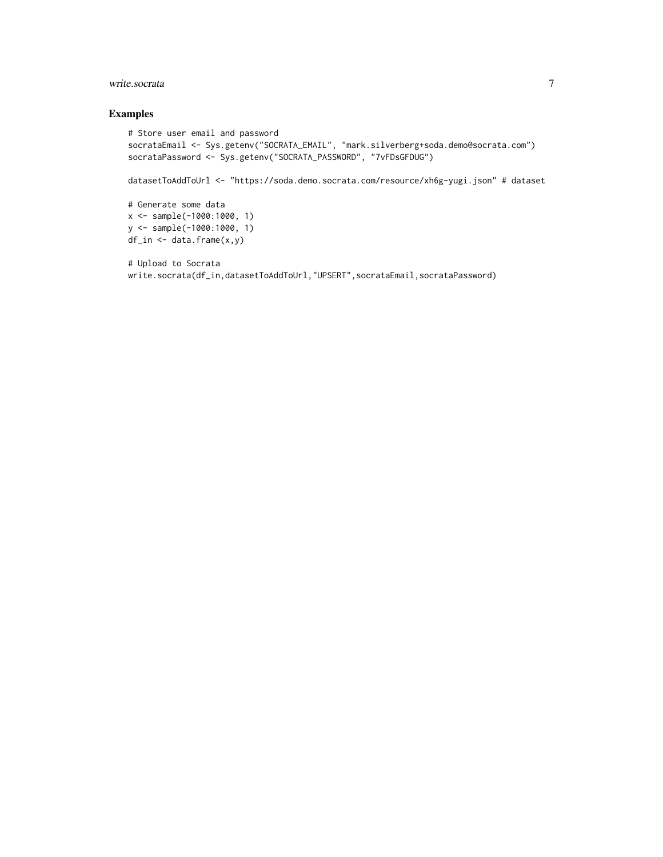#### write.socrata 7

#### Examples

```
# Store user email and password
socrataEmail <- Sys.getenv("SOCRATA_EMAIL", "mark.silverberg+soda.demo@socrata.com")
socrataPassword <- Sys.getenv("SOCRATA_PASSWORD", "7vFDsGFDUG")
datasetToAddToUrl <- "https://soda.demo.socrata.com/resource/xh6g-yugi.json" # dataset
# Generate some data
x \le - sample(-1000:1000, 1)
y <- sample(-1000:1000, 1)
df_in <- data.frame(x,y)
```
# Upload to Socrata write.socrata(df\_in,datasetToAddToUrl,"UPSERT",socrataEmail,socrataPassword)